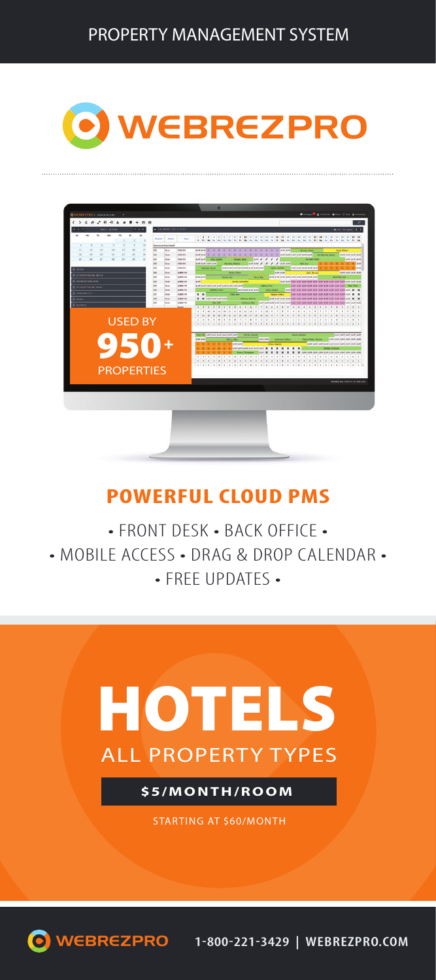### O WEBREZPRO



#### **POWERFUL CLOUD PMS**

• FRONT DESK • BACK OFFICE • • MOBILE ACCESS • DRAG & DROP CALENDAR • • FREE UPDATES •



**\$5/MONTH/ROOM**

STARTING AT \$60/MONTH

WEBREZPRO **1-800-221-3429 | WEBREZPRO.COM**